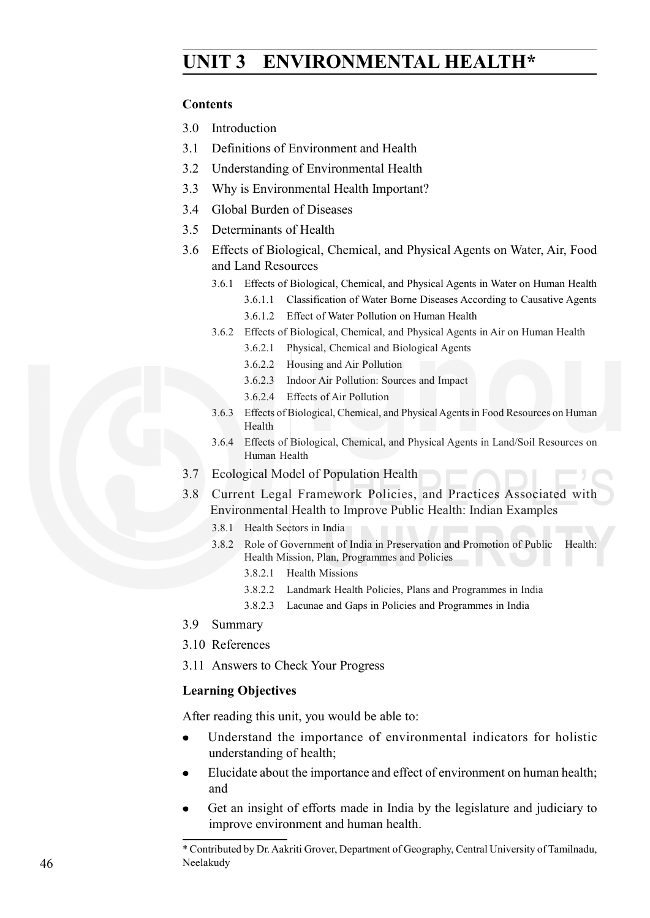# **Public Health UNIT 3 ENVIRONMENTAL HEALTH\***

#### **Contents**

- 3.0 Introduction
- 3.1 Definitions of Environment and Health
- 3.2 Understanding of Environmental Health
- 3.3 Why is Environmental Health Important?
- 3.4 Global Burden of Diseases
- 3.5 Determinants of Health
- 3.6 Effects of Biological, Chemical, and Physical Agents on Water, Air, Food and Land Resources
	- 3.6.1 Effects of Biological, Chemical, and Physical Agents in Water on Human Health
		- 3.6.1.1 Classification of Water Borne Diseases According to Causative Agents
		- 3.6.1.2 Effect of Water Pollution on Human Health
	- 3.6.2 Effects of Biological, Chemical, and Physical Agents in Air on Human Health
		- 3.6.2.1 Physical, Chemical and Biological Agents
		- 3.6.2.2 Housing and Air Pollution
		- 3.6.2.3 Indoor Air Pollution: Sources and Impact
		- 3.6.2.4 Effects of Air Pollution
	- 3.6.3 Effects of Biological, Chemical, and Physical Agents in Food Resources on Human Health
	- 3.6.4 Effects of Biological, Chemical, and Physical Agents in Land/Soil Resources on Human Health
- 3.7 Ecological Model of Population Health
- 3.8 Current Legal Framework Policies, and Practices Associated with Environmental Health to Improve Public Health: Indian Examples
	- 3.8.1 Health Sectors in India
	- 3.8.2 Role of Government of India in Preservation and Promotion of Public Health: Health Mission, Plan, Programmes and Policies
		- 3.8.2.1 Health Missions
		- 3.8.2.2 Landmark Health Policies, Plans and Programmes in India
		- 3.8.2.3 Lacunae and Gaps in Policies and Programmes in India
- 3.9 Summary
- 3.10 References
- 3.11 Answers to Check Your Progress

#### **Learning Objectives**

After reading this unit, you would be able to:

- Understand the importance of environmental indicators for holistic understanding of health;
- Elucidate about the importance and effect of environment on human health; and
- Get an insight of efforts made in India by the legislature and judiciary to improve environment and human health.

<sup>\*</sup> Contributed by Dr. Aakriti Grover, Department of Geography, Central University of Tamilnadu, Neelakudy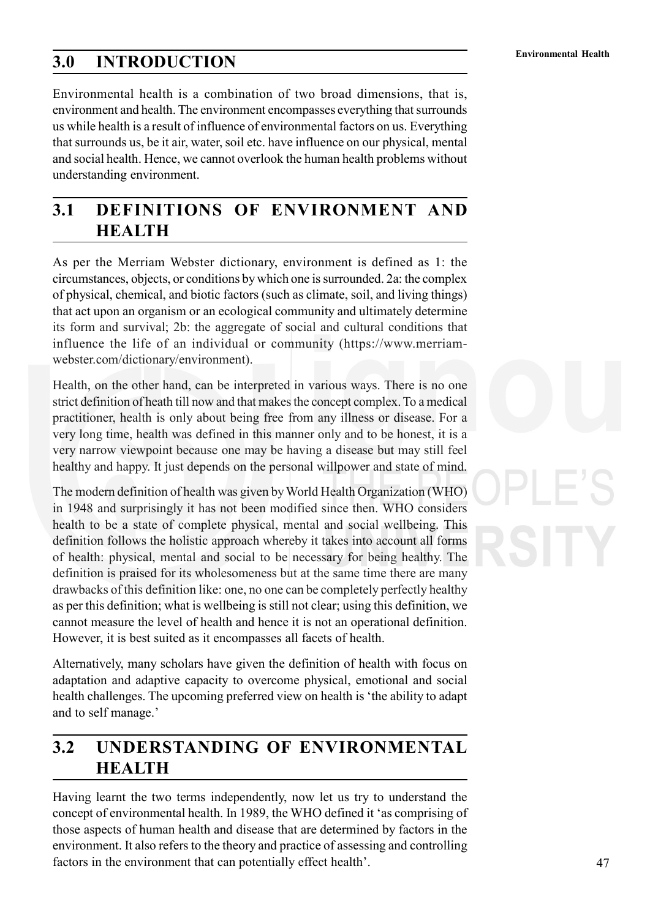# **Environmental Health 3.0 INTRODUCTION**

Environmental health is a combination of two broad dimensions, that is, environment and health. The environment encompasses everything that surrounds us while health is a result of influence of environmental factors on us. Everything that surrounds us, be it air, water, soil etc. have influence on our physical, mental and social health. Hence, we cannot overlook the human health problems without understanding environment.

## **3.1 DEFINITIONS OF ENVIRONMENT AND HEALTH**

As per the Merriam Webster dictionary, environment is defined as 1: the circumstances, objects, or conditions by which one is surrounded. 2a: the complex of physical, chemical, and biotic factors (such as climate, soil, and living things) that act upon an organism or an ecological community and ultimately determine its form and survival; 2b: the aggregate of social and cultural conditions that influence the life of an individual or community (https://www.merriamwebster.com/dictionary/environment).

Health, on the other hand, can be interpreted in various ways. There is no one strict definition of heath till now and that makes the concept complex. To a medical practitioner, health is only about being free from any illness or disease. For a very long time, health was defined in this manner only and to be honest, it is a very narrow viewpoint because one may be having a disease but may still feel healthy and happy. It just depends on the personal willpower and state of mind.

The modern definition of health was given by World Health Organization (WHO) in 1948 and surprisingly it has not been modified since then. WHO considers health to be a state of complete physical, mental and social wellbeing. This definition follows the holistic approach whereby it takes into account all forms of health: physical, mental and social to be necessary for being healthy. The definition is praised for its wholesomeness but at the same time there are many drawbacks of this definition like: one, no one can be completely perfectly healthy as per this definition; what is wellbeing is still not clear; using this definition, we cannot measure the level of health and hence it is not an operational definition. However, it is best suited as it encompasses all facets of health.

Alternatively, many scholars have given the definition of health with focus on adaptation and adaptive capacity to overcome physical, emotional and social health challenges. The upcoming preferred view on health is 'the ability to adapt and to self manage.'

# **3.2 UNDERSTANDING OF ENVIRONMENTAL HEALTH**

Having learnt the two terms independently, now let us try to understand the concept of environmental health. In 1989, the WHO defined it 'as comprising of those aspects of human health and disease that are determined by factors in the environment. It also refers to the theory and practice of assessing and controlling factors in the environment that can potentially effect health'.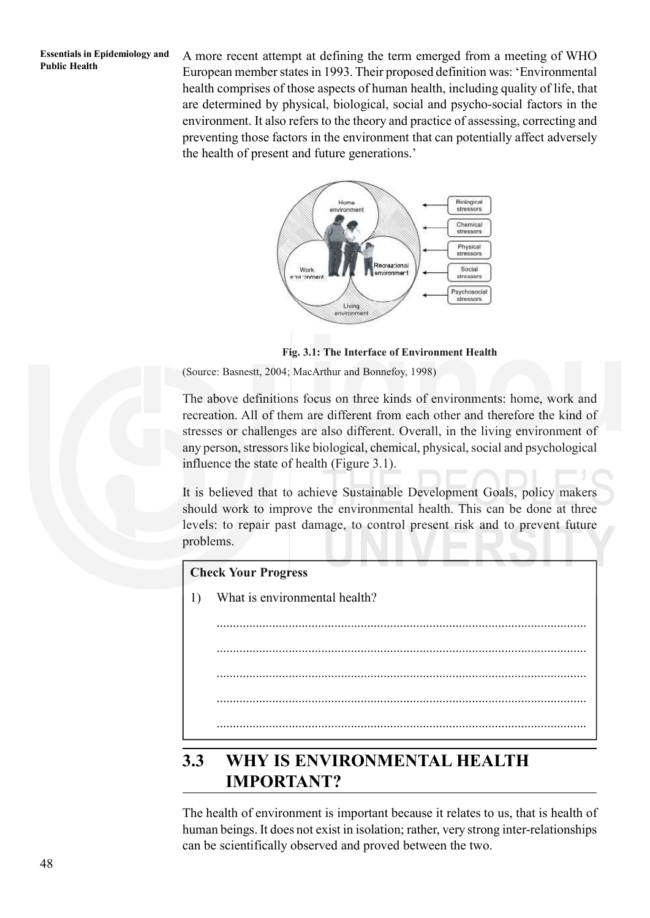**Public Health** A more recent attempt at defining the term emerged from a meeting of WHO<br>Public Health<br> $\frac{1002 \text{ F}}{1002 \text{ F}}$ European member states in 1993. Their proposed definition was: 'Environmental health comprises of those aspects of human health, including quality of life, that are determined by physical, biological, social and psycho-social factors in the environment. It also refers to the theory and practice of assessing, correcting and preventing those factors in the environment that can potentially affect adversely the health of present and future generations.'



**Fig. 3.1: The Interface of Environment Health**

(Source: Basnestt, 2004; MacArthur and Bonnefoy, 1998)

The above definitions focus on three kinds of environments: home, work and recreation. All of them are different from each other and therefore the kind of stresses or challenges are also different. Overall, in the living environment of any person, stressors like biological, chemical, physical, social and psychological influence the state of health (Figure 3.1).

It is believed that to achieve Sustainable Development Goals, policy makers should work to improve the environmental health. This can be done at three levels: to repair past damage, to control present risk and to prevent future problems.

### **Check Your Progress**

1) What is environmental health?

................................................................................................................. ................................................................................................................. ................................................................................................................. ................................................................................................................. .................................................................................................................

# **3.3 WHY IS ENVIRONMENTAL HEALTH IMPORTANT?**

The health of environment is important because it relates to us, that is health of human beings. It does not exist in isolation; rather, very strong inter-relationships can be scientifically observed and proved between the two.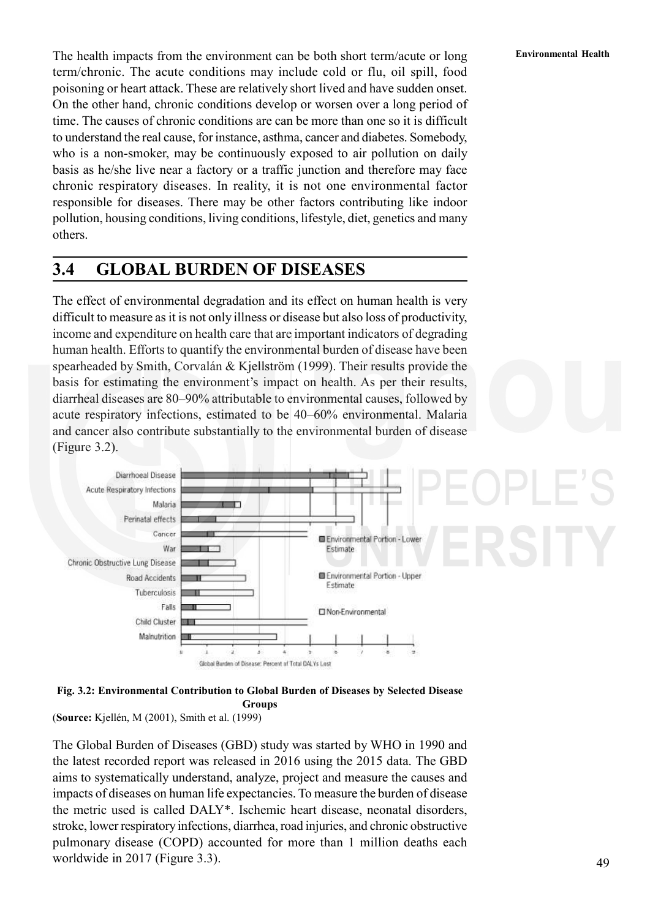The health impacts from the environment can be both short term/acute or long **Environmental Health** term/chronic. The acute conditions may include cold or flu, oil spill, food poisoning or heart attack. These are relatively short lived and have sudden onset. On the other hand, chronic conditions develop or worsen over a long period of time. The causes of chronic conditions are can be more than one so it is difficult to understand the real cause, for instance, asthma, cancer and diabetes. Somebody, who is a non-smoker, may be continuously exposed to air pollution on daily basis as he/she live near a factory or a traffic junction and therefore may face chronic respiratory diseases. In reality, it is not one environmental factor responsible for diseases. There may be other factors contributing like indoor pollution, housing conditions, living conditions, lifestyle, diet, genetics and many others.

## **3.4 GLOBAL BURDEN OF DISEASES**

The effect of environmental degradation and its effect on human health is very difficult to measure as it is not only illness or disease but also loss of productivity, income and expenditure on health care that are important indicators of degrading human health. Efforts to quantify the environmental burden of disease have been spearheaded by Smith, Corvalán & Kjellström (1999). Their results provide the basis for estimating the environment's impact on health. As per their results, diarrheal diseases are 80–90% attributable to environmental causes, followed by acute respiratory infections, estimated to be 40–60% environmental. Malaria and cancer also contribute substantially to the environmental burden of disease (Figure 3.2).





(**Source:** Kjellén, M (2001), Smith et al. (1999)

The Global Burden of Diseases (GBD) study was started by WHO in 1990 and the latest recorded report was released in 2016 using the 2015 data. The GBD aims to systematically understand, analyze, project and measure the causes and impacts of diseases on human life expectancies. To measure the burden of disease the metric used is called DALY\*. Ischemic heart disease, neonatal disorders, stroke, lower respiratory infections, diarrhea, road injuries, and chronic obstructive pulmonary disease (COPD) accounted for more than 1 million deaths each worldwide in 2017 (Figure 3.3).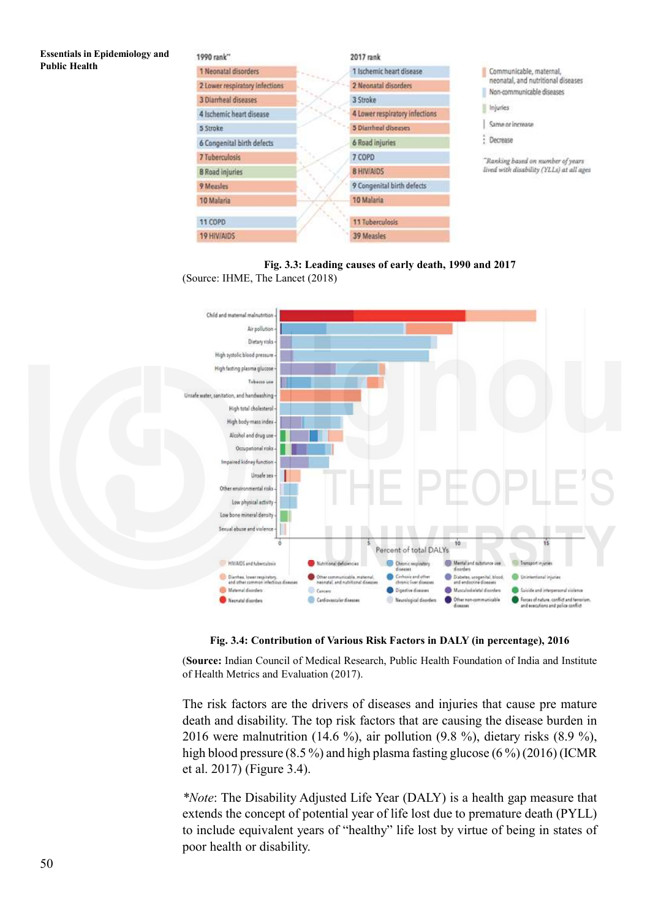#### **Essentials in Epidemiology and Public Health**



**Fig. 3.3: Leading causes of early death, 1990 and 2017** (Source: IHME, The Lancet (2018)



**Fig. 3.4: Contribution of Various Risk Factors in DALY (in percentage), 2016**

(**Source:** Indian Council of Medical Research, Public Health Foundation of India and Institute of Health Metrics and Evaluation (2017).

The risk factors are the drivers of diseases and injuries that cause pre mature death and disability. The top risk factors that are causing the disease burden in 2016 were malnutrition (14.6 %), air pollution (9.8 %), dietary risks  $(8.9 \%)$ , high blood pressure  $(8.5\%)$  and high plasma fasting glucose  $(6\%)$  (2016) (ICMR et al. 2017) (Figure 3.4).

*\*Note*: The Disability Adjusted Life Year (DALY) is a health gap measure that extends the concept of potential year of life lost due to premature death (PYLL) to include equivalent years of "healthy" life lost by virtue of being in states of poor health or disability.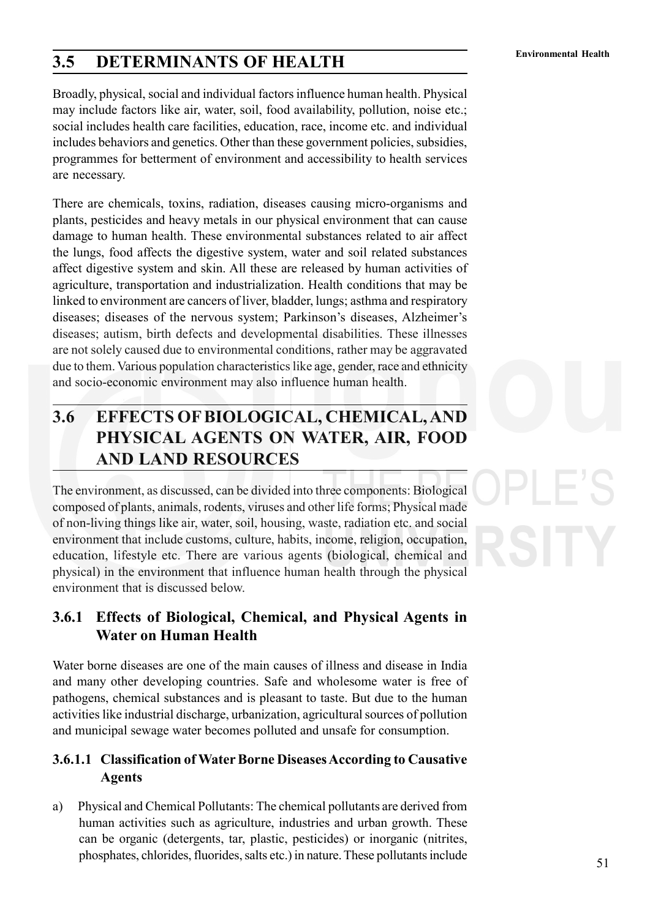# **Environmental Health 3.5 DETERMINANTS OF HEALTH**

Broadly, physical, social and individual factors influence human health. Physical may include factors like air, water, soil, food availability, pollution, noise etc.; social includes health care facilities, education, race, income etc. and individual includes behaviors and genetics. Other than these government policies, subsidies, programmes for betterment of environment and accessibility to health services are necessary.

There are chemicals, toxins, radiation, diseases causing micro-organisms and plants, pesticides and heavy metals in our physical environment that can cause damage to human health. These environmental substances related to air affect the lungs, food affects the digestive system, water and soil related substances affect digestive system and skin. All these are released by human activities of agriculture, transportation and industrialization. Health conditions that may be linked to environment are cancers of liver, bladder, lungs; asthma and respiratory diseases; diseases of the nervous system; Parkinson's diseases, Alzheimer's diseases; autism, birth defects and developmental disabilities. These illnesses are not solely caused due to environmental conditions, rather may be aggravated due to them. Various population characteristics like age, gender, race and ethnicity and socio-economic environment may also influence human health.

# **3.6 EFFECTS OF BIOLOGICAL, CHEMICAL, AND PHYSICAL AGENTS ON WATER, AIR, FOOD AND LAND RESOURCES**

The environment, as discussed, can be divided into three components: Biological composed of plants, animals, rodents, viruses and other life forms; Physical made of non-living things like air, water, soil, housing, waste, radiation etc. and social environment that include customs, culture, habits, income, religion, occupation, education, lifestyle etc. There are various agents (biological, chemical and physical) in the environment that influence human health through the physical environment that is discussed below.

## **3.6.1 Effects of Biological, Chemical, and Physical Agents in Water on Human Health**

Water borne diseases are one of the main causes of illness and disease in India and many other developing countries. Safe and wholesome water is free of pathogens, chemical substances and is pleasant to taste. But due to the human activities like industrial discharge, urbanization, agricultural sources of pollution and municipal sewage water becomes polluted and unsafe for consumption.

## **3.6.1.1 Classification of Water Borne Diseases According to Causative Agents**

a) Physical and Chemical Pollutants: The chemical pollutants are derived from human activities such as agriculture, industries and urban growth. These can be organic (detergents, tar, plastic, pesticides) or inorganic (nitrites, phosphates, chlorides, fluorides, salts etc.) in nature. These pollutants include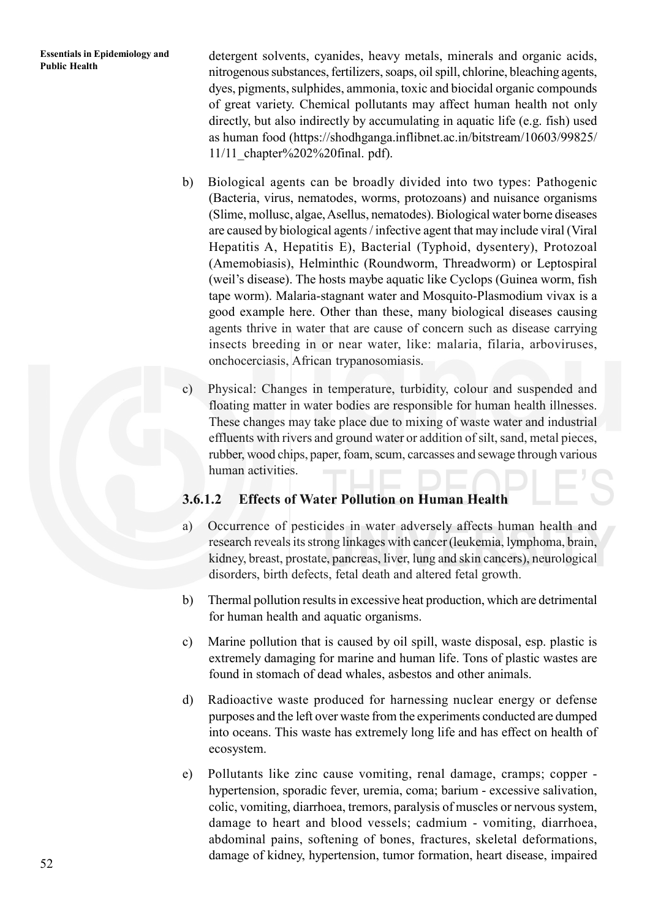**Essentials in Epidemiology and** detergent solvents, cyanides, heavy metals, minerals and organic acids, Public Health nitrogenous substances, fertilizers, soaps, oil spill, chlorine, bleaching agents, dyes, pigments, sulphides, ammonia, toxic and biocidal organic compounds of great variety. Chemical pollutants may affect human health not only directly, but also indirectly by accumulating in aquatic life (e.g. fish) used as human food (https://shodhganga.inflibnet.ac.in/bitstream/10603/99825/ 11/11\_chapter%202%20final. pdf).

- b) Biological agents can be broadly divided into two types: Pathogenic (Bacteria, virus, nematodes, worms, protozoans) and nuisance organisms (Slime, mollusc, algae, Asellus, nematodes). Biological water borne diseases are caused by biological agents / infective agent that may include viral (Viral Hepatitis A, Hepatitis E), Bacterial (Typhoid, dysentery), Protozoal (Amemobiasis), Helminthic (Roundworm, Threadworm) or Leptospiral (weil's disease). The hosts maybe aquatic like Cyclops (Guinea worm, fish tape worm). Malaria-stagnant water and Mosquito-Plasmodium vivax is a good example here. Other than these, many biological diseases causing agents thrive in water that are cause of concern such as disease carrying insects breeding in or near water, like: malaria, filaria, arboviruses, onchocerciasis, African trypanosomiasis.
- c) Physical: Changes in temperature, turbidity, colour and suspended and floating matter in water bodies are responsible for human health illnesses. These changes may take place due to mixing of waste water and industrial effluents with rivers and ground water or addition of silt, sand, metal pieces, rubber, wood chips, paper, foam, scum, carcasses and sewage through various human activities.

## **3.6.1.2 Effects of Water Pollution on Human Health**

- a) Occurrence of pesticides in water adversely affects human health and research reveals its strong linkages with cancer (leukemia, lymphoma, brain, kidney, breast, prostate, pancreas, liver, lung and skin cancers), neurological disorders, birth defects, fetal death and altered fetal growth.
- b) Thermal pollution results in excessive heat production, which are detrimental for human health and aquatic organisms.
- c) Marine pollution that is caused by oil spill, waste disposal, esp. plastic is extremely damaging for marine and human life. Tons of plastic wastes are found in stomach of dead whales, asbestos and other animals.
- d) Radioactive waste produced for harnessing nuclear energy or defense purposes and the left over waste from the experiments conducted are dumped into oceans. This waste has extremely long life and has effect on health of ecosystem.
- e) Pollutants like zinc cause vomiting, renal damage, cramps; copper hypertension, sporadic fever, uremia, coma; barium - excessive salivation, colic, vomiting, diarrhoea, tremors, paralysis of muscles or nervous system, damage to heart and blood vessels; cadmium - vomiting, diarrhoea, abdominal pains, softening of bones, fractures, skeletal deformations, damage of kidney, hypertension, tumor formation, heart disease, impaired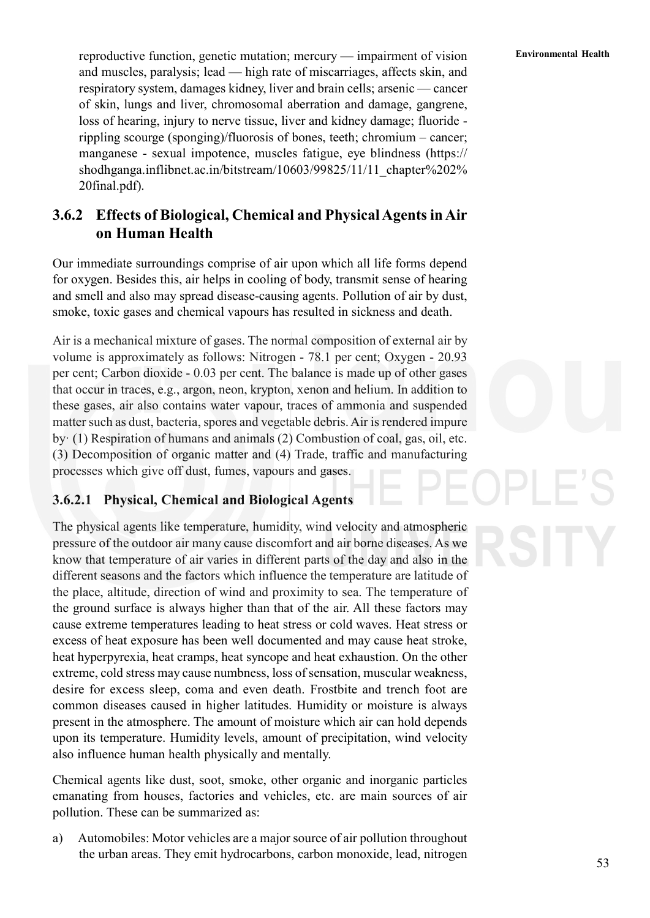**Environmental Health** reproductive function, genetic mutation; mercury — impairment of vision **Environmental Health** and muscles, paralysis; lead — high rate of miscarriages, affects skin, and respiratory system, damages kidney, liver and brain cells; arsenic — cancer of skin, lungs and liver, chromosomal aberration and damage, gangrene, loss of hearing, injury to nerve tissue, liver and kidney damage; fluoride rippling scourge (sponging)/fluorosis of bones, teeth; chromium – cancer; manganese - sexual impotence, muscles fatigue, eye blindness (https:// shodhganga.inflibnet.ac.in/bitstream/10603/99825/11/11\_chapter%202% 20final.pdf).

## **3.6.2 Effects of Biological, Chemical and Physical Agents in Air on Human Health**

Our immediate surroundings comprise of air upon which all life forms depend for oxygen. Besides this, air helps in cooling of body, transmit sense of hearing and smell and also may spread disease-causing agents. Pollution of air by dust, smoke, toxic gases and chemical vapours has resulted in sickness and death.

Air is a mechanical mixture of gases. The normal composition of external air by volume is approximately as follows: Nitrogen - 78.1 per cent; Oxygen - 20.93 per cent; Carbon dioxide - 0.03 per cent. The balance is made up of other gases that occur in traces, e.g., argon, neon, krypton, xenon and helium. In addition to these gases, air also contains water vapour, traces of ammonia and suspended matter such as dust, bacteria, spores and vegetable debris. Air is rendered impure by· (1) Respiration of humans and animals (2) Combustion of coal, gas, oil, etc. (3) Decomposition of organic matter and (4) Trade, traffic and manufacturing processes which give off dust, fumes, vapours and gases.

## **3.6.2.1 Physical, Chemical and Biological Agents**

The physical agents like temperature, humidity, wind velocity and atmospheric pressure of the outdoor air many cause discomfort and air borne diseases. As we know that temperature of air varies in different parts of the day and also in the different seasons and the factors which influence the temperature are latitude of the place, altitude, direction of wind and proximity to sea. The temperature of the ground surface is always higher than that of the air. All these factors may cause extreme temperatures leading to heat stress or cold waves. Heat stress or excess of heat exposure has been well documented and may cause heat stroke, heat hyperpyrexia, heat cramps, heat syncope and heat exhaustion. On the other extreme, cold stress may cause numbness, loss of sensation, muscular weakness, desire for excess sleep, coma and even death. Frostbite and trench foot are common diseases caused in higher latitudes. Humidity or moisture is always present in the atmosphere. The amount of moisture which air can hold depends upon its temperature. Humidity levels, amount of precipitation, wind velocity also influence human health physically and mentally.

Chemical agents like dust, soot, smoke, other organic and inorganic particles emanating from houses, factories and vehicles, etc. are main sources of air pollution. These can be summarized as:

a) Automobiles: Motor vehicles are a major source of air pollution throughout the urban areas. They emit hydrocarbons, carbon monoxide, lead, nitrogen

53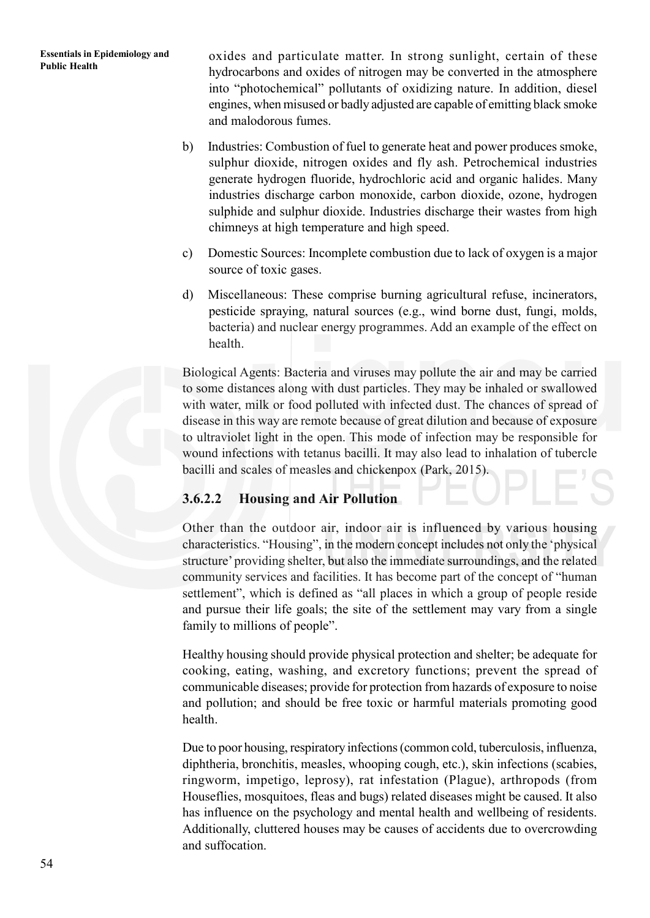**Essentials in Epidemiology and** oxides and particulate matter. In strong sunlight, certain of these Public Health hydrocarbons and oxides of nitrogen may be converted in the atmosphere into "photochemical" pollutants of oxidizing nature. In addition, diesel engines, when misused or badly adjusted are capable of emitting black smoke and malodorous fumes.

- b) Industries: Combustion of fuel to generate heat and power produces smoke, sulphur dioxide, nitrogen oxides and fly ash. Petrochemical industries generate hydrogen fluoride, hydrochloric acid and organic halides. Many industries discharge carbon monoxide, carbon dioxide, ozone, hydrogen sulphide and sulphur dioxide. Industries discharge their wastes from high chimneys at high temperature and high speed.
- c) Domestic Sources: Incomplete combustion due to lack of oxygen is a major source of toxic gases.
- d) Miscellaneous: These comprise burning agricultural refuse, incinerators, pesticide spraying, natural sources (e.g., wind borne dust, fungi, molds, bacteria) and nuclear energy programmes. Add an example of the effect on health.

Biological Agents: Bacteria and viruses may pollute the air and may be carried to some distances along with dust particles. They may be inhaled or swallowed with water, milk or food polluted with infected dust. The chances of spread of disease in this way are remote because of great dilution and because of exposure to ultraviolet light in the open. This mode of infection may be responsible for wound infections with tetanus bacilli. It may also lead to inhalation of tubercle bacilli and scales of measles and chickenpox (Park, 2015).

## **3.6.2.2 Housing and Air Pollution**

Other than the outdoor air, indoor air is influenced by various housing characteristics. "Housing", in the modern concept includes not only the 'physical structure' providing shelter, but also the immediate surroundings, and the related community services and facilities. It has become part of the concept of "human settlement", which is defined as "all places in which a group of people reside and pursue their life goals; the site of the settlement may vary from a single family to millions of people".

Healthy housing should provide physical protection and shelter; be adequate for cooking, eating, washing, and excretory functions; prevent the spread of communicable diseases; provide for protection from hazards of exposure to noise and pollution; and should be free toxic or harmful materials promoting good health.

Due to poor housing, respiratory infections (common cold, tuberculosis, influenza, diphtheria, bronchitis, measles, whooping cough, etc.), skin infections (scabies, ringworm, impetigo, leprosy), rat infestation (Plague), arthropods (from Houseflies, mosquitoes, fleas and bugs) related diseases might be caused. It also has influence on the psychology and mental health and wellbeing of residents. Additionally, cluttered houses may be causes of accidents due to overcrowding and suffocation.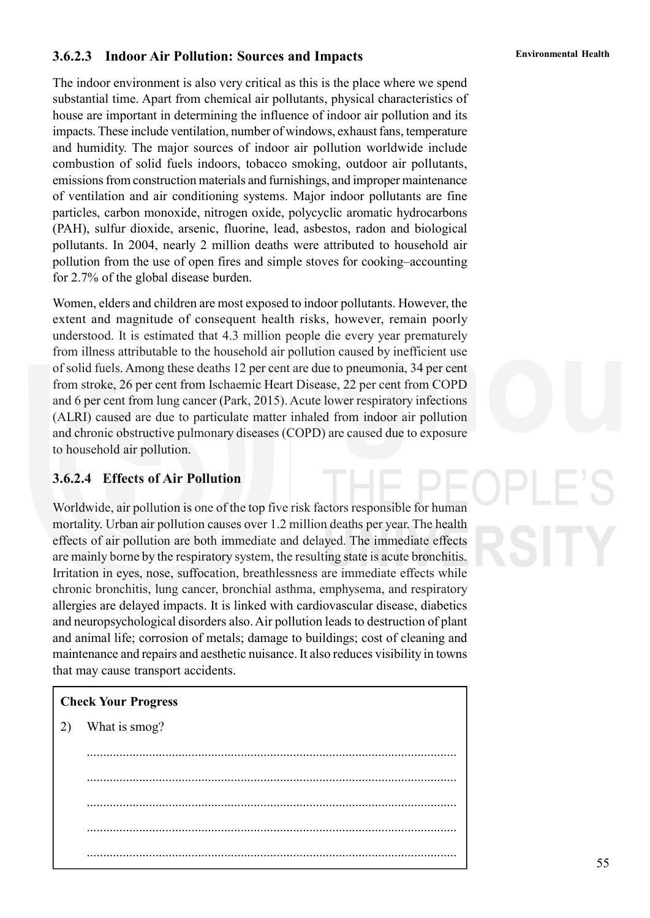## **Environmental Health 3.6.2.3 Indoor Air Pollution: Sources and Impacts**

The indoor environment is also very critical as this is the place where we spend substantial time. Apart from chemical air pollutants, physical characteristics of house are important in determining the influence of indoor air pollution and its impacts. These include ventilation, number of windows, exhaust fans, temperature and humidity. The major sources of indoor air pollution worldwide include combustion of solid fuels indoors, tobacco smoking, outdoor air pollutants, emissions from construction materials and furnishings, and improper maintenance of ventilation and air conditioning systems. Major indoor pollutants are fine particles, carbon monoxide, nitrogen oxide, polycyclic aromatic hydrocarbons (PAH), sulfur dioxide, arsenic, fluorine, lead, asbestos, radon and biological pollutants. In 2004, nearly 2 million deaths were attributed to household air pollution from the use of open fires and simple stoves for cooking–accounting for 2.7% of the global disease burden.

Women, elders and children are most exposed to indoor pollutants. However, the extent and magnitude of consequent health risks, however, remain poorly understood. It is estimated that 4.3 million people die every year prematurely from illness attributable to the household air pollution caused by inefficient use of solid fuels. Among these deaths 12 per cent are due to pneumonia, 34 per cent from stroke, 26 per cent from Ischaemic Heart Disease, 22 per cent from COPD and 6 per cent from lung cancer (Park, 2015). Acute lower respiratory infections (ALRI) caused are due to particulate matter inhaled from indoor air pollution and chronic obstructive pulmonary diseases (COPD) are caused due to exposure to household air pollution.

### **3.6.2.4 Effects of Air Pollution**

Worldwide, air pollution is one of the top five risk factors responsible for human mortality. Urban air pollution causes over 1.2 million deaths per year. The health effects of air pollution are both immediate and delayed. The immediate effects are mainly borne by the respiratory system, the resulting state is acute bronchitis. Irritation in eyes, nose, suffocation, breathlessness are immediate effects while chronic bronchitis, lung cancer, bronchial asthma, emphysema, and respiratory allergies are delayed impacts. It is linked with cardiovascular disease, diabetics and neuropsychological disorders also. Air pollution leads to destruction of plant and animal life; corrosion of metals; damage to buildings; cost of cleaning and maintenance and repairs and aesthetic nuisance. It also reduces visibility in towns that may cause transport accidents.

### **Check Your Progress**

2) What is smog?

................................................................................................................. ................................................................................................................. ................................................................................................................. ................................................................................................................. .................................................................................................................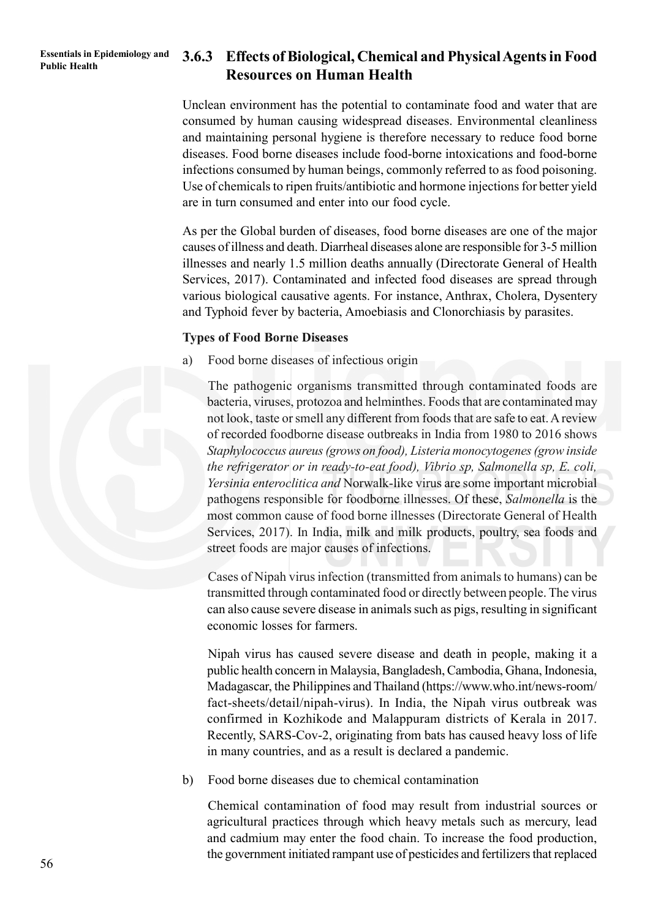## **Public Health 3.6.3 Effects of Biological, Chemical and Physical Agents in Food Resources on Human Health**

Unclean environment has the potential to contaminate food and water that are consumed by human causing widespread diseases. Environmental cleanliness and maintaining personal hygiene is therefore necessary to reduce food borne diseases. Food borne diseases include food-borne intoxications and food-borne infections consumed by human beings, commonly referred to as food poisoning. Use of chemicals to ripen fruits/antibiotic and hormone injections for better yield are in turn consumed and enter into our food cycle.

As per the Global burden of diseases, food borne diseases are one of the major causes of illness and death. Diarrheal diseases alone are responsible for 3-5 million illnesses and nearly 1.5 million deaths annually (Directorate General of Health Services, 2017). Contaminated and infected food diseases are spread through various biological causative agents. For instance, Anthrax, Cholera, Dysentery and Typhoid fever by bacteria, Amoebiasis and Clonorchiasis by parasites.

### **Types of Food Borne Diseases**

a) Food borne diseases of infectious origin

The pathogenic organisms transmitted through contaminated foods are bacteria, viruses, protozoa and helminthes. Foods that are contaminated may not look, taste or smell any different from foods that are safe to eat. A review of recorded foodborne disease outbreaks in India from 1980 to 2016 shows *Staphylococcus aureus (grows on food), Listeria monocytogenes (grow inside the refrigerator or in ready-to-eat food), Vibrio sp, Salmonella sp, E. coli, Yersinia enteroclitica and* Norwalk-like virus are some important microbial pathogens responsible for foodborne illnesses. Of these, *Salmonella* is the most common cause of food borne illnesses (Directorate General of Health Services, 2017). In India, milk and milk products, poultry, sea foods and street foods are major causes of infections.

Cases of Nipah virus infection (transmitted from animals to humans) can be transmitted through contaminated food or directly between people. The virus can also cause severe disease in animals such as pigs, resulting in significant economic losses for farmers.

Nipah virus has caused severe disease and death in people, making it a public health concern in Malaysia, Bangladesh, Cambodia, Ghana, Indonesia, Madagascar, the Philippines and Thailand (https://www.who.int/news-room/ fact-sheets/detail/nipah-virus). In India, the Nipah virus outbreak was confirmed in Kozhikode and Malappuram districts of Kerala in 2017. Recently, SARS-Cov-2, originating from bats has caused heavy loss of life in many countries, and as a result is declared a pandemic.

b) Food borne diseases due to chemical contamination

Chemical contamination of food may result from industrial sources or agricultural practices through which heavy metals such as mercury, lead and cadmium may enter the food chain. To increase the food production, the government initiated rampant use of pesticides and fertilizers that replaced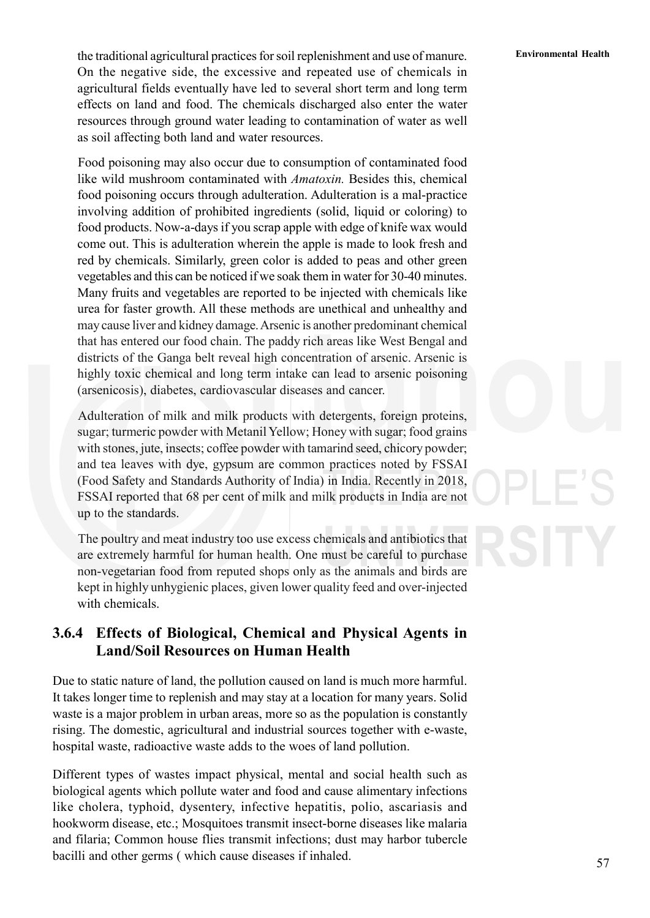**Environmental Health** the traditional agricultural practices for soil replenishment and use of manure. On the negative side, the excessive and repeated use of chemicals in agricultural fields eventually have led to several short term and long term effects on land and food. The chemicals discharged also enter the water resources through ground water leading to contamination of water as well as soil affecting both land and water resources.

Food poisoning may also occur due to consumption of contaminated food like wild mushroom contaminated with *Amatoxin.* Besides this, chemical food poisoning occurs through adulteration. Adulteration is a mal-practice involving addition of prohibited ingredients (solid, liquid or coloring) to food products. Now-a-days if you scrap apple with edge of knife wax would come out. This is adulteration wherein the apple is made to look fresh and red by chemicals. Similarly, green color is added to peas and other green vegetables and this can be noticed if we soak them in water for 30-40 minutes. Many fruits and vegetables are reported to be injected with chemicals like urea for faster growth. All these methods are unethical and unhealthy and may cause liver and kidney damage. Arsenic is another predominant chemical that has entered our food chain. The paddy rich areas like West Bengal and districts of the Ganga belt reveal high concentration of arsenic. Arsenic is highly toxic chemical and long term intake can lead to arsenic poisoning (arsenicosis), diabetes, cardiovascular diseases and cancer.

Adulteration of milk and milk products with detergents, foreign proteins, sugar; turmeric powder with Metanil Yellow; Honey with sugar; food grains with stones, jute, insects; coffee powder with tamarind seed, chicory powder; and tea leaves with dye, gypsum are common practices noted by FSSAI (Food Safety and Standards Authority of India) in India. Recently in 2018, FSSAI reported that 68 per cent of milk and milk products in India are not up to the standards.

The poultry and meat industry too use excess chemicals and antibiotics that are extremely harmful for human health. One must be careful to purchase non-vegetarian food from reputed shops only as the animals and birds are kept in highly unhygienic places, given lower quality feed and over-injected with chemicals.

## **3.6.4 Effects of Biological, Chemical and Physical Agents in Land/Soil Resources on Human Health**

Due to static nature of land, the pollution caused on land is much more harmful. It takes longer time to replenish and may stay at a location for many years. Solid waste is a major problem in urban areas, more so as the population is constantly rising. The domestic, agricultural and industrial sources together with e-waste, hospital waste, radioactive waste adds to the woes of land pollution.

Different types of wastes impact physical, mental and social health such as biological agents which pollute water and food and cause alimentary infections like cholera, typhoid, dysentery, infective hepatitis, polio, ascariasis and hookworm disease, etc.; Mosquitoes transmit insect-borne diseases like malaria and filaria; Common house flies transmit infections; dust may harbor tubercle bacilli and other germs ( which cause diseases if inhaled.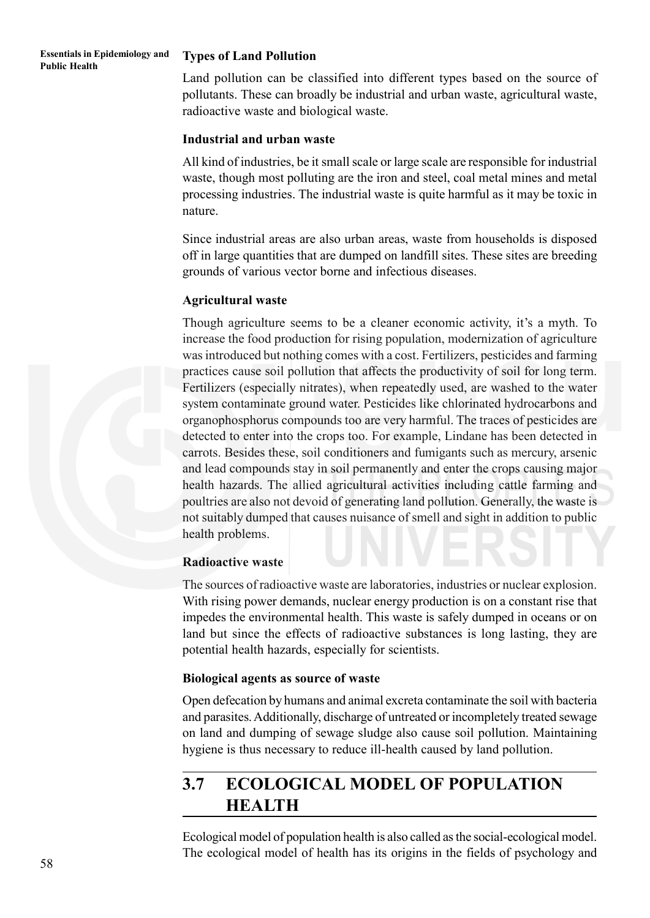#### **Essentials in Epidemiology and Essentials in Epidemiology and Types of Land Pollution**<br>Public Health

Land pollution can be classified into different types based on the source of pollutants. These can broadly be industrial and urban waste, agricultural waste, radioactive waste and biological waste.

#### **Industrial and urban waste**

All kind of industries, be it small scale or large scale are responsible for industrial waste, though most polluting are the iron and steel, coal metal mines and metal processing industries. The industrial waste is quite harmful as it may be toxic in nature.

Since industrial areas are also urban areas, waste from households is disposed off in large quantities that are dumped on landfill sites. These sites are breeding grounds of various vector borne and infectious diseases.

### **Agricultural waste**

Though agriculture seems to be a cleaner economic activity, it's a myth. To increase the food production for rising population, modernization of agriculture was introduced but nothing comes with a cost. Fertilizers, pesticides and farming practices cause soil pollution that affects the productivity of soil for long term. Fertilizers (especially nitrates), when repeatedly used, are washed to the water system contaminate ground water. Pesticides like chlorinated hydrocarbons and organophosphorus compounds too are very harmful. The traces of pesticides are detected to enter into the crops too. For example, Lindane has been detected in carrots. Besides these, soil conditioners and fumigants such as mercury, arsenic and lead compounds stay in soil permanently and enter the crops causing major health hazards. The allied agricultural activities including cattle farming and poultries are also not devoid of generating land pollution. Generally, the waste is not suitably dumped that causes nuisance of smell and sight in addition to public health problems.

#### **Radioactive waste**

The sources of radioactive waste are laboratories, industries or nuclear explosion. With rising power demands, nuclear energy production is on a constant rise that impedes the environmental health. This waste is safely dumped in oceans or on land but since the effects of radioactive substances is long lasting, they are potential health hazards, especially for scientists.

#### **Biological agents as source of waste**

Open defecation by humans and animal excreta contaminate the soil with bacteria and parasites. Additionally, discharge of untreated or incompletely treated sewage on land and dumping of sewage sludge also cause soil pollution. Maintaining hygiene is thus necessary to reduce ill-health caused by land pollution.

# **3.7 ECOLOGICAL MODEL OF POPULATION HEALTH**

Ecological model of population health is also called as the social-ecological model. The ecological model of health has its origins in the fields of psychology and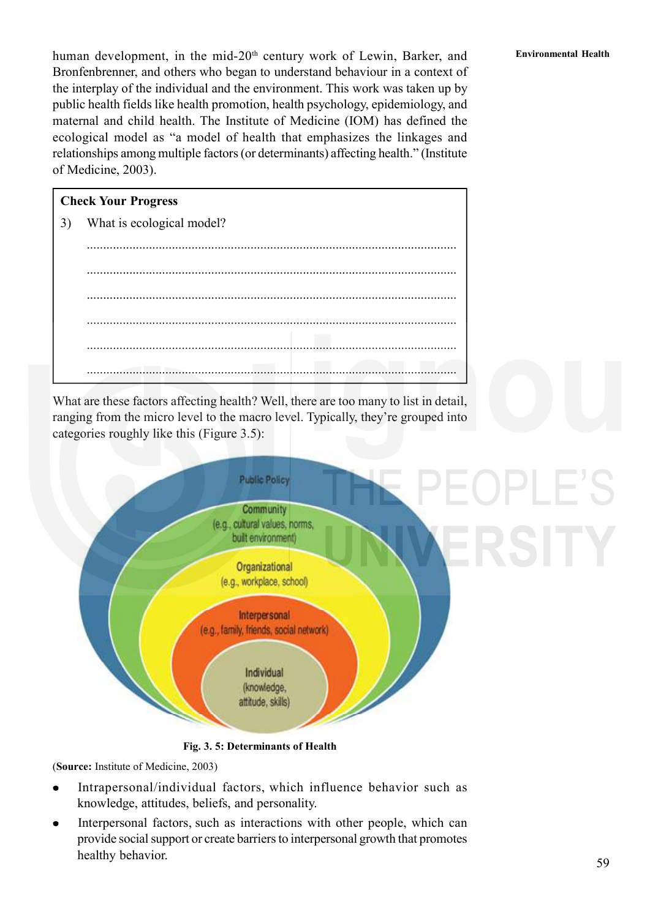human development, in the mid-20<sup>th</sup> century work of Lewin, Barker, and **Environmental Health** Bronfenbrenner, and others who began to understand behaviour in a context of the interplay of the individual and the environment. This work was taken up by public health fields like health promotion, health psychology, epidemiology, and maternal and child health. The Institute of Medicine (IOM) has defined the ecological model as "a model of health that emphasizes the linkages and relationships among multiple factors (or determinants) affecting health." (Institute of Medicine, 2003).

## **Check Your Progress**

3) What is ecological model?

................................................................................................................. ................................................................................................................. ................................................................................................................. .................................................................................................................

.................................................................................................................

.................................................................................................................

What are these factors affecting health? Well, there are too many to list in detail, ranging from the micro level to the macro level. Typically, they're grouped into categories roughly like this (Figure 3.5):



**Fig. 3. 5: Determinants of Health**

(**Source:** Institute of Medicine, 2003)

- Intrapersonal/individual factors, which influence behavior such as knowledge, attitudes, beliefs, and personality.
- Interpersonal factors, such as interactions with other people, which can provide social support or create barriers to interpersonal growth that promotes healthy behavior.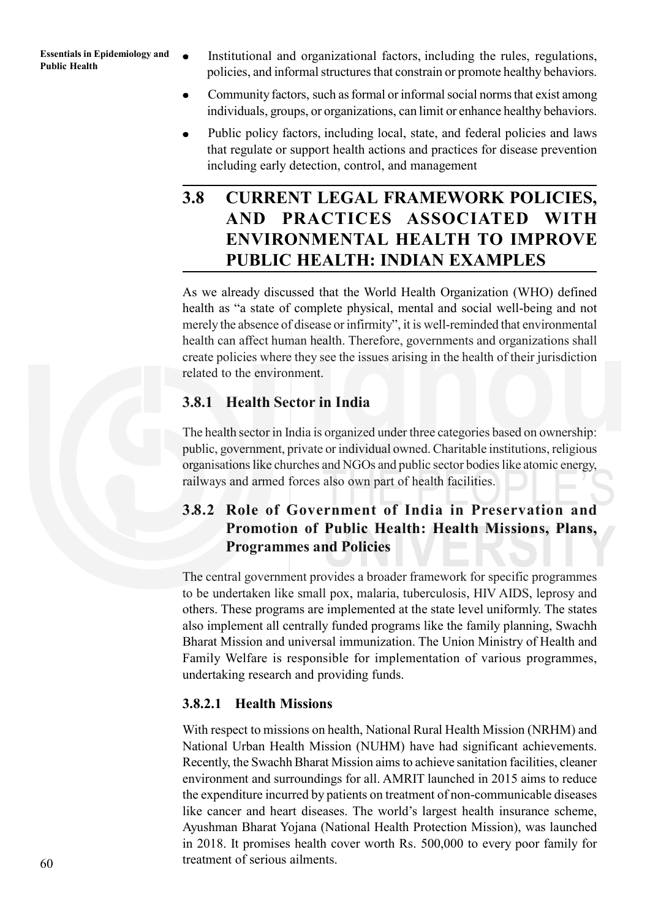- **Essentials in Epidemiology and •** Institutional and organizational factors, including the rules, regulations, Public Health policies, and informal structures that constrain or promote healthy behaviors.
	- Community factors, such as formal or informal social norms that exist among individuals, groups, or organizations, can limit or enhance healthy behaviors.
	- Public policy factors, including local, state, and federal policies and laws that regulate or support health actions and practices for disease prevention including early detection, control, and management

# **3.8 CURRENT LEGAL FRAMEWORK POLICIES, AND PRACTICES ASSOCIATED WITH ENVIRONMENTAL HEALTH TO IMPROVE PUBLIC HEALTH: INDIAN EXAMPLES**

As we already discussed that the World Health Organization (WHO) defined health as "a state of complete physical, mental and social well-being and not merely the absence of disease or infirmity", it is well-reminded that environmental health can affect human health. Therefore, governments and organizations shall create policies where they see the issues arising in the health of their jurisdiction related to the environment.

## **3.8.1 Health Sector in India**

The health sector in India is organized under three categories based on ownership: public, government, private or individual owned. Charitable institutions, religious organisations like churches and NGOs and public sector bodies like atomic energy, railways and armed forces also own part of health facilities.

## **3.8.2 Role of Government of India in Preservation and Promotion of Public Health: Health Missions, Plans, Programmes and Policies**

The central government provides a broader framework for specific programmes to be undertaken like small pox, malaria, tuberculosis, HIV AIDS, leprosy and others. These programs are implemented at the state level uniformly. The states also implement all centrally funded programs like the family planning, Swachh Bharat Mission and universal immunization. The Union Ministry of Health and Family Welfare is responsible for implementation of various programmes, undertaking research and providing funds.

## **3.8.2.1 Health Missions**

With respect to missions on health, National Rural Health Mission (NRHM) and National Urban Health Mission (NUHM) have had significant achievements. Recently, the Swachh Bharat Mission aims to achieve sanitation facilities, cleaner environment and surroundings for all. AMRIT launched in 2015 aims to reduce the expenditure incurred by patients on treatment of non-communicable diseases like cancer and heart diseases. The world's largest health insurance scheme, Ayushman Bharat Yojana (National Health Protection Mission), was launched in 2018. It promises health cover worth Rs. 500,000 to every poor family for treatment of serious ailments.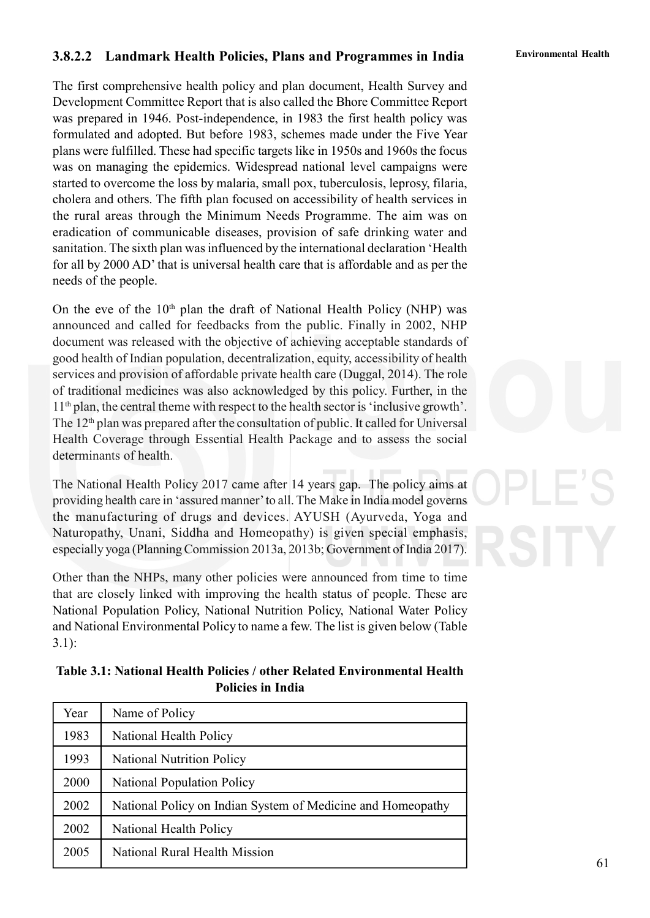## **Environmental Health 3.8.2.2 Landmark Health Policies, Plans and Programmes in India**

The first comprehensive health policy and plan document, Health Survey and Development Committee Report that is also called the Bhore Committee Report was prepared in 1946. Post-independence, in 1983 the first health policy was formulated and adopted. But before 1983, schemes made under the Five Year plans were fulfilled. These had specific targets like in 1950s and 1960s the focus was on managing the epidemics. Widespread national level campaigns were started to overcome the loss by malaria, small pox, tuberculosis, leprosy, filaria, cholera and others. The fifth plan focused on accessibility of health services in the rural areas through the Minimum Needs Programme. The aim was on eradication of communicable diseases, provision of safe drinking water and sanitation. The sixth plan was influenced by the international declaration 'Health for all by 2000 AD' that is universal health care that is affordable and as per the needs of the people.

On the eve of the  $10<sup>th</sup>$  plan the draft of National Health Policy (NHP) was announced and called for feedbacks from the public. Finally in 2002, NHP document was released with the objective of achieving acceptable standards of good health of Indian population, decentralization, equity, accessibility of health services and provision of affordable private health care (Duggal, 2014). The role of traditional medicines was also acknowledged by this policy. Further, in the  $11<sup>th</sup>$  plan, the central theme with respect to the health sector is 'inclusive growth'. The  $12<sup>th</sup>$  plan was prepared after the consultation of public. It called for Universal Health Coverage through Essential Health Package and to assess the social determinants of health.

The National Health Policy 2017 came after 14 years gap. The policy aims at providing health care in 'assured manner' to all. The Make in India model governs the manufacturing of drugs and devices. AYUSH (Ayurveda, Yoga and Naturopathy, Unani, Siddha and Homeopathy) is given special emphasis, especially yoga (Planning Commission 2013a, 2013b; Government of India 2017).

Other than the NHPs, many other policies were announced from time to time that are closely linked with improving the health status of people. These are National Population Policy, National Nutrition Policy, National Water Policy and National Environmental Policy to name a few. The list is given below (Table 3.1):

**Table 3.1: National Health Policies / other Related Environmental Health Policies in India**

| Year | Name of Policy                                              |
|------|-------------------------------------------------------------|
| 1983 | National Health Policy                                      |
| 1993 | <b>National Nutrition Policy</b>                            |
| 2000 | <b>National Population Policy</b>                           |
| 2002 | National Policy on Indian System of Medicine and Homeopathy |
| 2002 | National Health Policy                                      |
| 2005 | National Rural Health Mission                               |

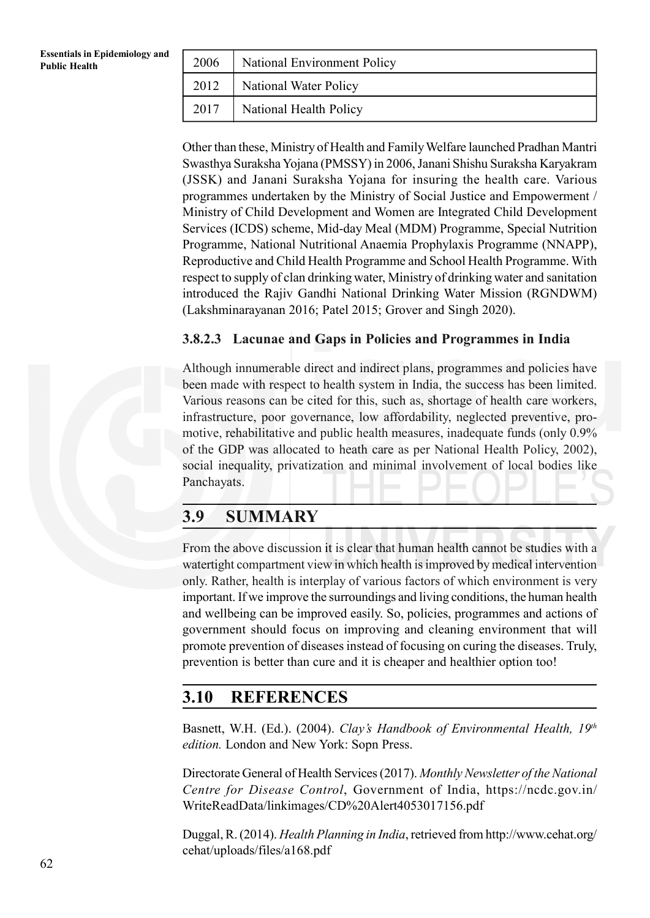| 2006 | National Environment Policy  |
|------|------------------------------|
| 2012 | <b>National Water Policy</b> |
| 2017 | National Health Policy       |

Other than these, Ministry of Health and Family Welfare launched Pradhan Mantri Swasthya Suraksha Yojana (PMSSY) in 2006, Janani Shishu Suraksha Karyakram (JSSK) and Janani Suraksha Yojana for insuring the health care. Various programmes undertaken by the Ministry of Social Justice and Empowerment / Ministry of Child Development and Women are Integrated Child Development Services (ICDS) scheme, Mid-day Meal (MDM) Programme, Special Nutrition Programme, National Nutritional Anaemia Prophylaxis Programme (NNAPP), Reproductive and Child Health Programme and School Health Programme. With respect to supply of clan drinking water, Ministry of drinking water and sanitation introduced the Rajiv Gandhi National Drinking Water Mission (RGNDWM) (Lakshminarayanan 2016; Patel 2015; Grover and Singh 2020).

## **3.8.2.3 Lacunae and Gaps in Policies and Programmes in India**

Although innumerable direct and indirect plans, programmes and policies have been made with respect to health system in India, the success has been limited. Various reasons can be cited for this, such as, shortage of health care workers, infrastructure, poor governance, low affordability, neglected preventive, promotive, rehabilitative and public health measures, inadequate funds (only 0.9% of the GDP was allocated to heath care as per National Health Policy, 2002), social inequality, privatization and minimal involvement of local bodies like Panchayats.

# **3.9 SUMMARY**

From the above discussion it is clear that human health cannot be studies with a watertight compartment view in which health is improved by medical intervention only. Rather, health is interplay of various factors of which environment is very important. If we improve the surroundings and living conditions, the human health and wellbeing can be improved easily. So, policies, programmes and actions of government should focus on improving and cleaning environment that will promote prevention of diseases instead of focusing on curing the diseases. Truly, prevention is better than cure and it is cheaper and healthier option too!

## **3.10 REFERENCES**

Basnett, W.H. (Ed.). (2004). *Clay's Handbook of Environmental Health, 19th edition.* London and New York: Sopn Press.

Directorate General of Health Services (2017). *Monthly Newsletter of the National Centre for Disease Control*, Government of India, https://ncdc.gov.in/ WriteReadData/linkimages/CD%20Alert4053017156.pdf

Duggal, R. (2014). *Health Planning in India*, retrieved from http://www.cehat.org/ cehat/uploads/files/a168.pdf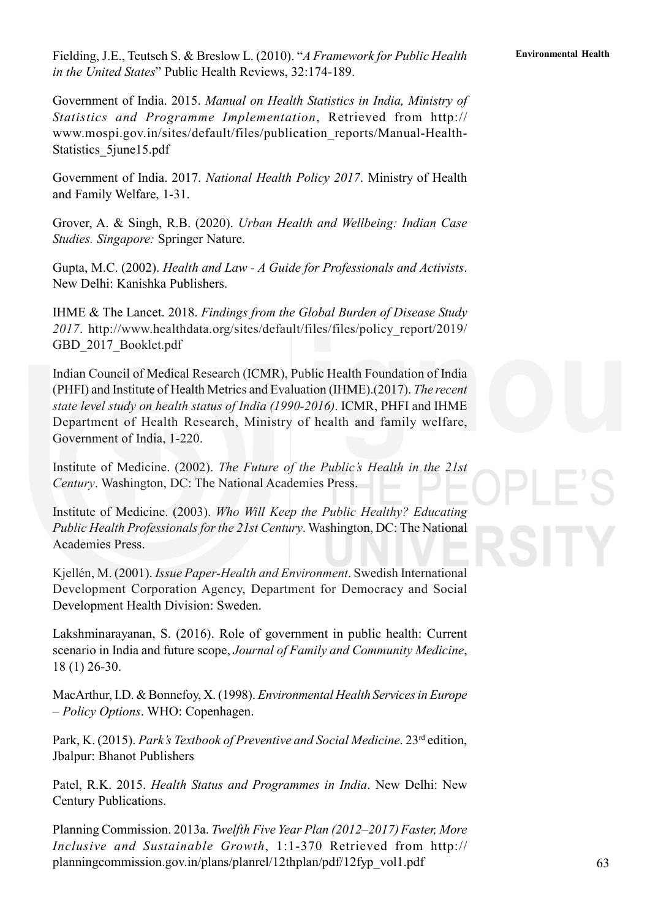63

Fielding, J.E., Teutsch S. & Breslow L. (2010). "*A Framework for Public Health* **Environmental Health** *in the United States*" Public Health Reviews, 32:174-189.

Government of India. 2015. *Manual on Health Statistics in India, Ministry of Statistics and Programme Implementation*, Retrieved from http:// www.mospi.gov.in/sites/default/files/publication\_reports/Manual-Health-Statistics\_5june15.pdf

Government of India. 2017. *National Health Policy 2017*. Ministry of Health and Family Welfare, 1-31.

Grover, A. & Singh, R.B. (2020). *Urban Health and Wellbeing: Indian Case Studies. Singapore:* Springer Nature.

Gupta, M.C. (2002). *Health and Law - A Guide for Professionals and Activists*. New Delhi: Kanishka Publishers.

IHME & The Lancet. 2018. *Findings from the Global Burden of Disease Study 2017*. http://www.healthdata.org/sites/default/files/files/policy\_report/2019/ GBD 2017 Booklet.pdf

Indian Council of Medical Research (ICMR), Public Health Foundation of India (PHFI) and Institute of Health Metrics and Evaluation (IHME).(2017). *The recent state level study on health status of India (1990-2016)*. ICMR, PHFI and IHME Department of Health Research, Ministry of health and family welfare, Government of India, 1-220.

Institute of Medicine. (2002). *The Future of the Public's Health in the 21st Century*. Washington, DC: The National Academies Press.

Institute of Medicine. (2003). *Who Will Keep the Public Healthy? Educating Public Health Professionals for the 21st Century*. Washington, DC: The National Academies Press.

Kjellén, M. (2001). *Issue Paper-Health and Environment*. Swedish International Development Corporation Agency, Department for Democracy and Social Development Health Division: Sweden.

Lakshminarayanan, S. (2016). Role of government in public health: Current scenario in India and future scope, *Journal of Family and Community Medicine*, 18 (1) 26-30.

MacArthur, I.D. & Bonnefoy, X. (1998). *Environmental Health Services in Europe – Policy Options*. WHO: Copenhagen.

Park, K. (2015). *Park's Textbook of Preventive and Social Medicine*. 23<sup>rd</sup> edition, Jbalpur: Bhanot Publishers

Patel, R.K. 2015. *Health Status and Programmes in India*. New Delhi: New Century Publications.

Planning Commission. 2013a. *Twelfth Five Year Plan (2012–2017) Faster, More Inclusive and Sustainable Growth*, 1:1-370 Retrieved from http:// planningcommission.gov.in/plans/planrel/12thplan/pdf/12fyp\_vol1.pdf